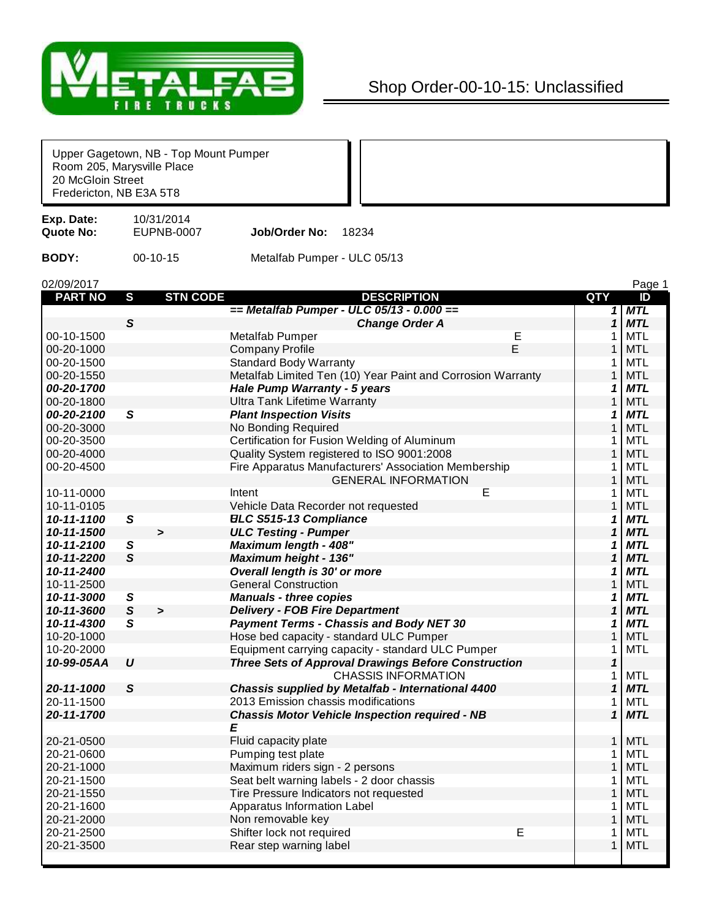

## Shop Order-00-10-15: Unclassified

| Room 205, Marysville Place<br>20 McGloin Street<br>Fredericton, NB E3A 5T8 |                | Upper Gagetown, NB - Top Mount Pumper |                                              |                                                                                          |   |                |            |
|----------------------------------------------------------------------------|----------------|---------------------------------------|----------------------------------------------|------------------------------------------------------------------------------------------|---|----------------|------------|
| Exp. Date:<br><b>Quote No:</b>                                             |                | 10/31/2014<br><b>EUPNB-0007</b>       | Job/Order No:                                | 18234                                                                                    |   |                |            |
| <b>BODY:</b>                                                               |                | 00-10-15                              | Metalfab Pumper - ULC 05/13                  |                                                                                          |   |                |            |
| 02/09/2017                                                                 |                |                                       |                                              |                                                                                          |   |                | Page 1     |
| <b>PART NO</b>                                                             | $\mathbf{s}$   | <b>STN CODE</b>                       |                                              | <b>DESCRIPTION</b>                                                                       |   | QTY            | ID         |
|                                                                            |                |                                       |                                              | == Metalfab Pumper - ULC 05/13 - 0.000 ==                                                |   | 1              | <b>MTL</b> |
|                                                                            | $\mathsf{s}$   |                                       |                                              | <b>Change Order A</b>                                                                    |   | 1              | <b>MTL</b> |
| 00-10-1500                                                                 |                |                                       | Metalfab Pumper                              |                                                                                          | Е | 1              | <b>MTL</b> |
| 00-20-1000                                                                 |                |                                       | <b>Company Profile</b>                       |                                                                                          | E | 1              | <b>MTL</b> |
| 00-20-1500                                                                 |                |                                       | <b>Standard Body Warranty</b>                |                                                                                          |   | 1              | <b>MTL</b> |
| 00-20-1550                                                                 |                |                                       |                                              | Metalfab Limited Ten (10) Year Paint and Corrosion Warranty                              |   | $\mathbf{1}$   | <b>MTL</b> |
| 00-20-1700                                                                 |                |                                       | Hale Pump Warranty - 5 years                 |                                                                                          |   | 1              | <b>MTL</b> |
| 00-20-1800                                                                 |                |                                       | <b>Ultra Tank Lifetime Warranty</b>          |                                                                                          |   | $\mathbf{1}$   | <b>MTL</b> |
| 00-20-2100                                                                 | $\mathbf{s}$   |                                       | <b>Plant Inspection Visits</b>               |                                                                                          |   | 1              | <b>MTL</b> |
| 00-20-3000                                                                 |                |                                       | No Bonding Required                          |                                                                                          |   | $\mathbf{1}$   | <b>MTL</b> |
| 00-20-3500                                                                 |                |                                       | Certification for Fusion Welding of Aluminum |                                                                                          |   | 1              | <b>MTL</b> |
| 00-20-4000                                                                 |                |                                       | Quality System registered to ISO 9001:2008   |                                                                                          |   | 1              | <b>MTL</b> |
| 00-20-4500                                                                 |                |                                       |                                              | Fire Apparatus Manufacturers' Association Membership                                     |   | 1              | <b>MTL</b> |
|                                                                            |                |                                       |                                              | <b>GENERAL INFORMATION</b>                                                               |   | $\mathbf{1}$   | <b>MTL</b> |
| 10-11-0000                                                                 |                |                                       | Intent                                       |                                                                                          | E | 1              | <b>MTL</b> |
| 10-11-0105                                                                 |                |                                       | Vehicle Data Recorder not requested          |                                                                                          |   | $\mathbf{1}$   | <b>MTL</b> |
| 10-11-1100                                                                 | S              |                                       | <b>ELC S515-13 Compliance</b>                |                                                                                          |   | 1              | <b>MTL</b> |
| 10-11-1500                                                                 |                | $\,$                                  | <b>ULC Testing - Pumper</b>                  |                                                                                          |   | 1              | <b>MTL</b> |
| 10-11-2100                                                                 | S              |                                       | <b>Maximum length - 408"</b>                 |                                                                                          |   | 1              | <b>MTL</b> |
| 10-11-2200                                                                 | $\mathsf{s}$   |                                       | <b>Maximum height - 136"</b>                 |                                                                                          |   | 1              | <b>MTL</b> |
| 10-11-2400                                                                 |                |                                       | Overall length is 30' or more                |                                                                                          |   | 1              | <b>MTL</b> |
| 10-11-2500                                                                 |                |                                       | <b>General Construction</b>                  |                                                                                          |   | 1              | <b>MTL</b> |
| 10-11-3000                                                                 | ${\mathcal S}$ |                                       | <b>Manuals - three copies</b>                |                                                                                          |   | 1              | <b>MTL</b> |
| 10-11-3600                                                                 | ${\mathcal S}$ | $\geq$                                | <b>Delivery - FOB Fire Department</b>        |                                                                                          |   | 1              | <b>MTL</b> |
| 10-11-4300                                                                 | S              |                                       |                                              | <b>Payment Terms - Chassis and Body NET 30</b>                                           |   | 1              | <b>MTL</b> |
| 10-20-1000                                                                 |                |                                       | Hose bed capacity - standard ULC Pumper      |                                                                                          |   | 1              | <b>MTL</b> |
| 10-20-2000                                                                 |                |                                       |                                              | Equipment carrying capacity - standard ULC Pumper                                        |   | 1              | <b>MTL</b> |
| 10-99-05AA                                                                 | υ              |                                       |                                              | <b>Three Sets of Approval Drawings Before Construction</b><br><b>CHASSIS INFORMATION</b> |   | 1<br>1         | <b>MTL</b> |
| 20-11-1000                                                                 | $\mathsf{s}$   |                                       |                                              | Chassis supplied by Metalfab - International 4400                                        |   | 1              | <b>MTL</b> |
| 20-11-1500                                                                 |                |                                       | 2013 Emission chassis modifications          |                                                                                          |   | 1              | <b>MTL</b> |
| 20-11-1700                                                                 |                |                                       |                                              | <b>Chassis Motor Vehicle Inspection required - NB</b>                                    |   | $\mathbf{1}$   | <b>MTL</b> |
|                                                                            |                |                                       | Ε                                            |                                                                                          |   |                |            |
| 20-21-0500                                                                 |                |                                       | Fluid capacity plate                         |                                                                                          |   | 1 <sup>1</sup> | <b>MTL</b> |
| 20-21-0600                                                                 |                |                                       | Pumping test plate                           |                                                                                          |   | 1              | <b>MTL</b> |
| 20-21-1000                                                                 |                |                                       | Maximum riders sign - 2 persons              |                                                                                          |   | $\mathbf{1}$   | <b>MTL</b> |
| 20-21-1500                                                                 |                |                                       | Seat belt warning labels - 2 door chassis    |                                                                                          |   | 1              | <b>MTL</b> |
| 20-21-1550                                                                 |                |                                       | Tire Pressure Indicators not requested       |                                                                                          |   | 1              | <b>MTL</b> |
| 20-21-1600                                                                 |                |                                       | Apparatus Information Label                  |                                                                                          |   | 1              | <b>MTL</b> |
| 20-21-2000                                                                 |                |                                       | Non removable key                            |                                                                                          |   | 1              | <b>MTL</b> |
| 20-21-2500                                                                 |                |                                       | Shifter lock not required                    |                                                                                          | Ε | $\mathbf 1$    | <b>MTL</b> |
| 20-21-3500                                                                 |                |                                       | Rear step warning label                      |                                                                                          |   | 1              | <b>MTL</b> |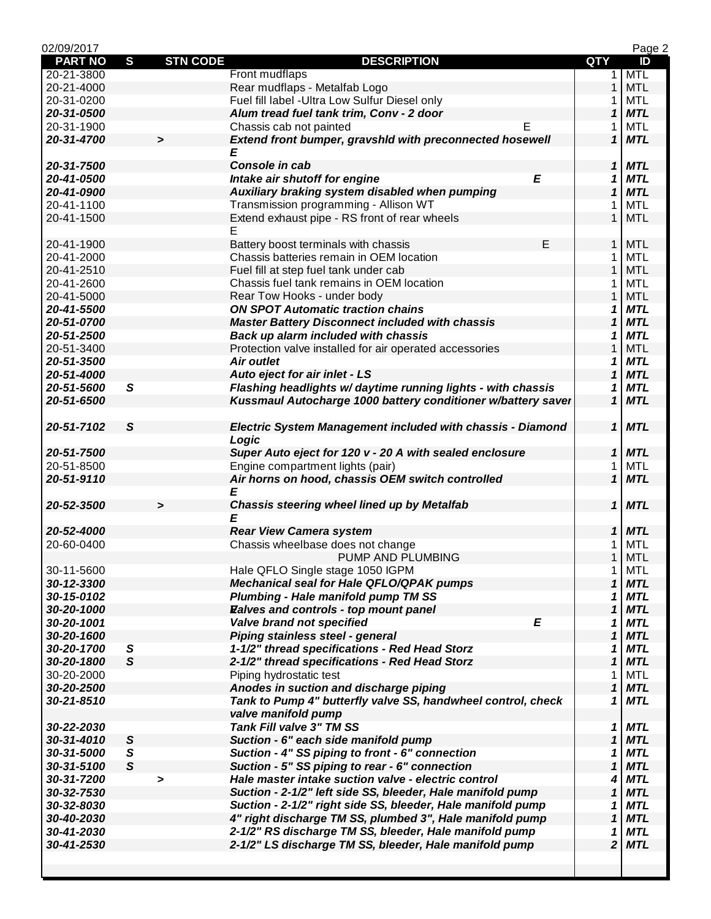| 02/09/2017               |               |                 |                                                                   |                            | Page 2     |
|--------------------------|---------------|-----------------|-------------------------------------------------------------------|----------------------------|------------|
| <b>PART NO</b>           | S             | <b>STN CODE</b> | <b>DESCRIPTION</b>                                                | QTY                        | ID         |
| 20-21-3800               |               |                 | Front mudflaps                                                    | $\mathbf 1$                | <b>MTL</b> |
| 20-21-4000               |               |                 | Rear mudflaps - Metalfab Logo                                     | $\mathbf{1}$               | <b>MTL</b> |
| 20-31-0200               |               |                 | Fuel fill label - Ultra Low Sulfur Diesel only                    | 1                          | <b>MTL</b> |
| 20-31-0500               |               |                 | Alum tread fuel tank trim, Conv - 2 door                          | 1                          | <b>MTL</b> |
| 20-31-1900               |               |                 | Chassis cab not painted<br>E.                                     | 1                          | <b>MTL</b> |
| 20-31-4700               |               | $\geq$          | Extend front bumper, gravshid with preconnected hosewell          | $\mathbf{1}$               | <b>MTL</b> |
|                          |               |                 | E                                                                 |                            |            |
| 20-31-7500               |               |                 | Console in cab                                                    | 1                          | <b>MTL</b> |
| 20-41-0500               |               |                 | E<br>Intake air shutoff for engine                                | 1                          | <b>MTL</b> |
| 20-41-0900               |               |                 | Auxiliary braking system disabled when pumping                    | 1                          | <b>MTL</b> |
| 20-41-1100               |               |                 | Transmission programming - Allison WT                             | 1                          | MTL        |
| 20-41-1500               |               |                 | Extend exhaust pipe - RS front of rear wheels                     | $\mathbf{1}$               | <b>MTL</b> |
|                          |               |                 | E                                                                 |                            |            |
| 20-41-1900               |               |                 | E<br>Battery boost terminals with chassis                         | $\mathbf{1}$               | <b>MTL</b> |
| 20-41-2000               |               |                 | Chassis batteries remain in OEM location                          | 1                          | <b>MTL</b> |
| 20-41-2510               |               |                 | Fuel fill at step fuel tank under cab                             | $\mathbf{1}$               | <b>MTL</b> |
| 20-41-2600               |               |                 | Chassis fuel tank remains in OEM location                         | 1                          | <b>MTL</b> |
| 20-41-5000               |               |                 | Rear Tow Hooks - under body                                       | 1                          | <b>MTL</b> |
| 20-41-5500               |               |                 | <b>ON SPOT Automatic traction chains</b>                          | 1                          | <b>MTL</b> |
| 20-51-0700               |               |                 | <b>Master Battery Disconnect included with chassis</b>            | 1                          | <b>MTL</b> |
| 20-51-2500               |               |                 | Back up alarm included with chassis                               | 1                          | <b>MTL</b> |
| 20-51-3400               |               |                 | Protection valve installed for air operated accessories           | 1                          | <b>MTL</b> |
| 20-51-3500               |               |                 | <b>Air outlet</b>                                                 | 1                          | <b>MTL</b> |
| 20-51-4000               |               |                 | Auto eject for air inlet - LS                                     | 1                          | <b>MTL</b> |
| 20-51-5600               | S             |                 | Flashing headlights w/ daytime running lights - with chassis      | 1                          | <b>MTL</b> |
| 20-51-6500               |               |                 | Kussmaul Autocharge 1000 battery conditioner w/battery saver      | $\mathbf{1}$               | <b>MTL</b> |
|                          |               |                 |                                                                   |                            |            |
| 20-51-7102               | S             |                 | <b>Electric System Management included with chassis - Diamond</b> | 1                          | <b>MTL</b> |
|                          |               |                 | Logic                                                             |                            |            |
| 20-51-7500               |               |                 | Super Auto eject for 120 v - 20 A with sealed enclosure           | $\mathbf{1}$               | <b>MTL</b> |
| 20-51-8500               |               |                 | Engine compartment lights (pair)                                  | 1                          | <b>MTL</b> |
| 20-51-9110               |               |                 | Air horns on hood, chassis OEM switch controlled                  | $\mathbf{1}$               | <b>MTL</b> |
|                          |               |                 | E                                                                 |                            |            |
| 20-52-3500               |               | $\geq$          | Chassis steering wheel lined up by Metalfab                       | 1                          | <b>MTL</b> |
|                          |               |                 | E                                                                 |                            |            |
| 20-52-4000               |               |                 | <b>Rear View Camera system</b>                                    | 1                          | <b>MTL</b> |
| 20-60-0400               |               |                 | Chassis wheelbase does not change                                 | 1                          | <b>MTL</b> |
|                          |               |                 | PUMP AND PLUMBING                                                 | $\mathbf{1}$               | <b>MTL</b> |
| 30-11-5600               |               |                 | Hale QFLO Single stage 1050 IGPM                                  | 1                          | MTL        |
| 30-12-3300               |               |                 | <b>Mechanical seal for Hale QFLO/QPAK pumps</b>                   | 1                          | <b>MTL</b> |
| 30-15-0102               |               |                 | <b>Plumbing - Hale manifold pump TM SS</b>                        | 1                          | <b>MTL</b> |
| 30-20-1000               |               |                 | Ealves and controls - top mount panel                             | 1                          | <b>MTL</b> |
| 30-20-1001               |               |                 | Valve brand not specified<br>E                                    | 1                          | <b>MTL</b> |
| 30-20-1600               |               |                 | Piping stainless steel - general                                  | 1                          | <b>MTL</b> |
| 30-20-1700               | S             |                 | 1-1/2" thread specifications - Red Head Storz                     | 1                          | <b>MTL</b> |
| 30-20-1800               | $\mathsf{s}$  |                 | 2-1/2" thread specifications - Red Head Storz                     | $\boldsymbol{\mathcal{L}}$ | <b>MTL</b> |
| 30-20-2000               |               |                 | Piping hydrostatic test                                           | 1                          | <b>MTL</b> |
| 30-20-2500               |               |                 | Anodes in suction and discharge piping                            | 1                          | <b>MTL</b> |
| 30-21-8510               |               |                 | Tank to Pump 4" butterfly valve SS, handwheel control, check      | 1                          | <b>MTL</b> |
|                          |               |                 | valve manifold pump                                               |                            |            |
|                          |               |                 | <b>Tank Fill valve 3" TM SS</b>                                   |                            | <b>MTL</b> |
| 30-22-2030               | ${\mathsf S}$ |                 | Suction - 6" each side manifold pump                              | 1<br>1                     | <b>MTL</b> |
| 30-31-4010<br>30-31-5000 | S             |                 |                                                                   | 1                          | <b>MTL</b> |
| 30-31-5100               | $\mathsf{s}$  |                 | Suction - 4" SS piping to front - 6" connection                   | $\boldsymbol{\mathcal{L}}$ | <b>MTL</b> |
|                          |               |                 | Suction - 5" SS piping to rear - 6" connection                    |                            | <b>MTL</b> |
| 30-31-7200               |               | $\,$            | Hale master intake suction valve - electric control               | 4                          |            |
| 30-32-7530               |               |                 | Suction - 2-1/2" left side SS, bleeder, Hale manifold pump        | $\boldsymbol{\mathcal{L}}$ | <b>MTL</b> |
| 30-32-8030               |               |                 | Suction - 2-1/2" right side SS, bleeder, Hale manifold pump       | 1                          | <b>MTL</b> |
| 30-40-2030               |               |                 | 4" right discharge TM SS, plumbed 3", Hale manifold pump          | 1                          | <b>MTL</b> |
| 30-41-2030               |               |                 | 2-1/2" RS discharge TM SS, bleeder, Hale manifold pump            | 1                          | <b>MTL</b> |
| 30-41-2530               |               |                 | 2-1/2" LS discharge TM SS, bleeder, Hale manifold pump            | $\overline{\mathbf{2}}$    | <b>MTL</b> |
|                          |               |                 |                                                                   |                            |            |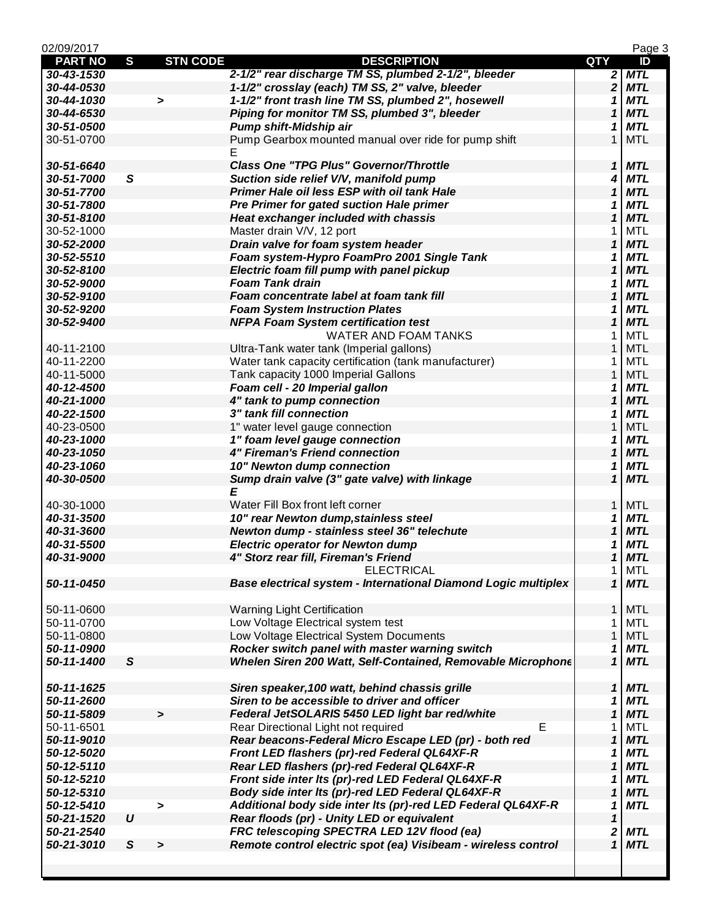| 02/09/2017     |                  |                 |                                                                |                            | Page 3     |
|----------------|------------------|-----------------|----------------------------------------------------------------|----------------------------|------------|
| <b>PART NO</b> | S                | <b>STN CODE</b> | <b>DESCRIPTION</b>                                             | <b>QTY</b>                 | ID         |
| 30-43-1530     |                  |                 | 2-1/2" rear discharge TM SS, plumbed 2-1/2", bleeder           | $\overline{\mathbf{c}}$    | <b>MTL</b> |
| 30-44-0530     |                  |                 | 1-1/2" crosslay (each) TM SS, 2" valve, bleeder                | $\overline{\mathbf{2}}$    | <b>MTL</b> |
| 30-44-1030     |                  | $\,$            | 1-1/2" front trash line TM SS, plumbed 2", hosewell            | 1                          | <b>MTL</b> |
| 30-44-6530     |                  |                 | Piping for monitor TM SS, plumbed 3", bleeder                  | 1                          | <b>MTL</b> |
| 30-51-0500     |                  |                 | Pump shift-Midship air                                         | 1                          | <b>MTL</b> |
| 30-51-0700     |                  |                 | Pump Gearbox mounted manual over ride for pump shift           | 1                          | <b>MTL</b> |
|                |                  |                 | Е                                                              |                            |            |
| 30-51-6640     |                  |                 | <b>Class One "TPG Plus" Governor/Throttle</b>                  | $\boldsymbol{\mathcal{L}}$ | <b>MTL</b> |
| 30-51-7000     | $\mathsf{s}$     |                 | Suction side relief V/V, manifold pump                         | 4                          | <b>MTL</b> |
| 30-51-7700     |                  |                 | Primer Hale oil less ESP with oil tank Hale                    | $\mathbf{1}$               | <b>MTL</b> |
| 30-51-7800     |                  |                 | <b>Pre Primer for gated suction Hale primer</b>                | 1                          | <b>MTL</b> |
| 30-51-8100     |                  |                 | <b>Heat exchanger included with chassis</b>                    | 1                          | <b>MTL</b> |
| 30-52-1000     |                  |                 | Master drain V/V, 12 port                                      | 1                          | <b>MTL</b> |
| 30-52-2000     |                  |                 | Drain valve for foam system header                             | $\mathbf 1$                | <b>MTL</b> |
| 30-52-5510     |                  |                 | Foam system-Hypro FoamPro 2001 Single Tank                     | 1                          | <b>MTL</b> |
| 30-52-8100     |                  |                 | Electric foam fill pump with panel pickup                      | 1                          | <b>MTL</b> |
| 30-52-9000     |                  |                 | <b>Foam Tank drain</b>                                         | 1                          | <b>MTL</b> |
| 30-52-9100     |                  |                 | Foam concentrate label at foam tank fill                       | 1                          | <b>MTL</b> |
| 30-52-9200     |                  |                 | <b>Foam System Instruction Plates</b>                          | 1                          | <b>MTL</b> |
| 30-52-9400     |                  |                 | <b>NFPA Foam System certification test</b>                     | 1                          | <b>MTL</b> |
|                |                  |                 | <b>WATER AND FOAM TANKS</b>                                    |                            | <b>MTL</b> |
| 40-11-2100     |                  |                 |                                                                | 1<br>$\mathbf{1}$          | <b>MTL</b> |
|                |                  |                 | Ultra-Tank water tank (Imperial gallons)                       |                            |            |
| 40-11-2200     |                  |                 | Water tank capacity certification (tank manufacturer)          | 1                          | MTL        |
| 40-11-5000     |                  |                 | Tank capacity 1000 Imperial Gallons                            | $\mathbf{1}$               | <b>MTL</b> |
| 40-12-4500     |                  |                 | Foam cell - 20 Imperial gallon                                 | 1                          | <b>MTL</b> |
| 40-21-1000     |                  |                 | 4" tank to pump connection                                     | 1                          | <b>MTL</b> |
| 40-22-1500     |                  |                 | 3" tank fill connection                                        | 1                          | <b>MTL</b> |
| 40-23-0500     |                  |                 | 1" water level gauge connection                                | 1                          | <b>MTL</b> |
| 40-23-1000     |                  |                 | 1" foam level gauge connection                                 | 1                          | <b>MTL</b> |
| 40-23-1050     |                  |                 | <b>4" Fireman's Friend connection</b>                          | $\mathbf 1$                | <b>MTL</b> |
| 40-23-1060     |                  |                 | 10" Newton dump connection                                     | 1                          | <b>MTL</b> |
| 40-30-0500     |                  |                 | Sump drain valve (3" gate valve) with linkage                  | 1                          | <b>MTL</b> |
|                |                  |                 | E                                                              |                            |            |
| 40-30-1000     |                  |                 | Water Fill Box front left corner                               | $\mathbf{1}$               | <b>MTL</b> |
| 40-31-3500     |                  |                 | 10" rear Newton dump, stainless steel                          | 1                          | <b>MTL</b> |
| 40-31-3600     |                  |                 | Newton dump - stainless steel 36" telechute                    | 1                          | <b>MTL</b> |
| 40-31-5500     |                  |                 | <b>Electric operator for Newton dump</b>                       | 1                          | <b>MTL</b> |
| 40-31-9000     |                  |                 | 4" Storz rear fill, Fireman's Friend                           | $\mathbf{1}$               | <b>MTL</b> |
|                |                  |                 | <b>ELECTRICAL</b>                                              | 1                          | MTL        |
| 50-11-0450     |                  |                 | Base electrical system - International Diamond Logic multiplex | $\mathbf{1}$               | <b>MTL</b> |
|                |                  |                 |                                                                |                            |            |
| 50-11-0600     |                  |                 | <b>Warning Light Certification</b>                             | $\mathbf{1}$               | <b>MTL</b> |
| 50-11-0700     |                  |                 | Low Voltage Electrical system test                             | 1                          | <b>MTL</b> |
| 50-11-0800     |                  |                 | Low Voltage Electrical System Documents                        | $\mathbf{1}$               | <b>MTL</b> |
| 50-11-0900     |                  |                 | Rocker switch panel with master warning switch                 | 1                          | <b>MTL</b> |
| 50-11-1400     | $\mathsf{s}$     |                 | Whelen Siren 200 Watt, Self-Contained, Removable Microphone    | $\mathbf{1}$               | <b>MTL</b> |
|                |                  |                 |                                                                |                            |            |
| 50-11-1625     |                  |                 | Siren speaker, 100 watt, behind chassis grille                 | $\boldsymbol{\mathcal{L}}$ | <b>MTL</b> |
| 50-11-2600     |                  |                 | Siren to be accessible to driver and officer                   | 1                          | <b>MTL</b> |
| 50-11-5809     |                  | $\geq$          | Federal JetSOLARIS 5450 LED light bar red/white                | 1                          | <b>MTL</b> |
| 50-11-6501     |                  |                 | E<br>Rear Directional Light not required                       | 1                          | <b>MTL</b> |
| 50-11-9010     |                  |                 | Rear beacons-Federal Micro Escape LED (pr) - both red          | 1                          | <b>MTL</b> |
| 50-12-5020     |                  |                 | Front LED flashers (pr)-red Federal QL64XF-R                   | 1                          | <b>MTL</b> |
| 50-12-5110     |                  |                 | Rear LED flashers (pr)-red Federal QL64XF-R                    | 1                          | <b>MTL</b> |
| 50-12-5210     |                  |                 | Front side inter Its (pr)-red LED Federal QL64XF-R             | 1                          | <b>MTL</b> |
| 50-12-5310     |                  |                 | Body side inter Its (pr)-red LED Federal QL64XF-R              | $\boldsymbol{\mathcal{L}}$ | <b>MTL</b> |
| 50-12-5410     |                  |                 | Additional body side inter Its (pr)-red LED Federal QL64XF-R   | 1                          | <b>MTL</b> |
|                | $\boldsymbol{U}$ | >               |                                                                |                            |            |
| 50-21-1520     |                  |                 | Rear floods (pr) - Unity LED or equivalent                     | $\mathbf 1$                |            |
| 50-21-2540     |                  |                 | FRC telescoping SPECTRA LED 12V flood (ea)                     | 2                          | <b>MTL</b> |
| 50-21-3010     | S                | $\geq$          | Remote control electric spot (ea) Visibeam - wireless control  | $\mathbf{1}$               | <b>MTL</b> |
|                |                  |                 |                                                                |                            |            |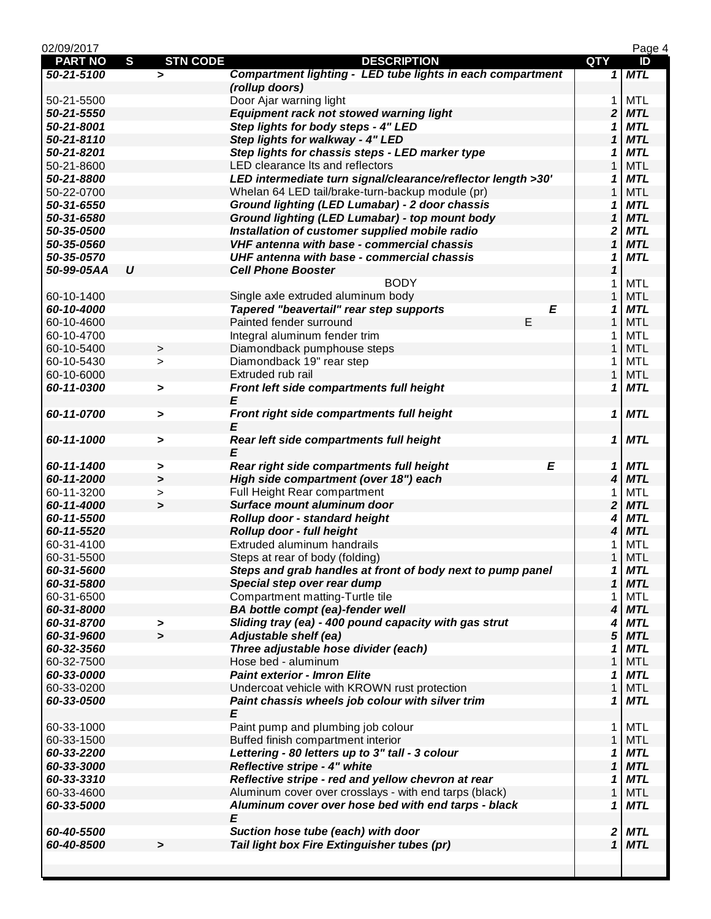| 02/09/2017     |                       |                 |                                                              |                            | Page 4     |
|----------------|-----------------------|-----------------|--------------------------------------------------------------|----------------------------|------------|
| <b>PART NO</b> | S                     | <b>STN CODE</b> | <b>DESCRIPTION</b>                                           | QTY                        | ID         |
| 50-21-5100     | $\geq$                |                 | Compartment lighting - LED tube lights in each compartment   |                            | $1$ MTL    |
|                |                       |                 | (rollup doors)                                               |                            |            |
| 50-21-5500     |                       |                 | Door Ajar warning light                                      | 1                          | <b>MTL</b> |
| 50-21-5550     |                       |                 | Equipment rack not stowed warning light                      | 2                          | <b>MTL</b> |
| 50-21-8001     |                       |                 | Step lights for body steps - 4" LED                          | 1                          | <b>MTL</b> |
| 50-21-8110     |                       |                 | Step lights for walkway - 4" LED                             | 1                          | <b>MTL</b> |
| 50-21-8201     |                       |                 | Step lights for chassis steps - LED marker type              | 1                          | <b>MTL</b> |
| 50-21-8600     |                       |                 | LED clearance Its and reflectors                             | $\mathbf{1}$               | <b>MTL</b> |
| 50-21-8800     |                       |                 | LED intermediate turn signal/clearance/reflector length >30' | 1                          | <b>MTL</b> |
| 50-22-0700     |                       |                 | Whelan 64 LED tail/brake-turn-backup module (pr)             | 1                          | <b>MTL</b> |
|                |                       |                 | Ground lighting (LED Lumabar) - 2 door chassis               |                            | <b>MTL</b> |
| 50-31-6550     |                       |                 |                                                              | 1                          | <b>MTL</b> |
| 50-31-6580     |                       |                 | Ground lighting (LED Lumabar) - top mount body               | 1                          |            |
| 50-35-0500     |                       |                 | Installation of customer supplied mobile radio               | 2                          | <b>MTL</b> |
| 50-35-0560     |                       |                 | VHF antenna with base - commercial chassis                   | $\mathbf{1}$               | <b>MTL</b> |
| 50-35-0570     |                       |                 | UHF antenna with base - commercial chassis                   | 1                          | <b>MTL</b> |
| 50-99-05AA     | $\boldsymbol{U}$      |                 | <b>Cell Phone Booster</b>                                    | $\boldsymbol{\mathcal{L}}$ |            |
|                |                       |                 | <b>BODY</b>                                                  | 1                          | <b>MTL</b> |
| 60-10-1400     |                       |                 | Single axle extruded aluminum body                           | 1                          | <b>MTL</b> |
| 60-10-4000     |                       |                 | Tapered "beavertail" rear step supports<br>E                 | 1                          | <b>MTL</b> |
| 60-10-4600     |                       |                 | E<br>Painted fender surround                                 | 1                          | <b>MTL</b> |
| 60-10-4700     |                       |                 | Integral aluminum fender trim                                | 1                          | <b>MTL</b> |
| 60-10-5400     | $\, >$                |                 | Diamondback pumphouse steps                                  | $\mathbf{1}$               | <b>MTL</b> |
| 60-10-5430     | $\geq$                |                 | Diamondback 19" rear step                                    | 1                          | <b>MTL</b> |
| 60-10-6000     |                       |                 | Extruded rub rail                                            | $\mathbf{1}$               | <b>MTL</b> |
| 60-11-0300     | >                     |                 | Front left side compartments full height                     | 1                          | <b>MTL</b> |
|                |                       |                 | E                                                            |                            |            |
| 60-11-0700     |                       |                 | Front right side compartments full height                    | 1                          | <b>MTL</b> |
|                | >                     |                 |                                                              |                            |            |
|                |                       |                 |                                                              |                            |            |
| 60-11-1000     | >                     |                 | Rear left side compartments full height                      | 1                          | <b>MTL</b> |
|                |                       |                 | E                                                            |                            |            |
| 60-11-1400     | >                     |                 | E<br>Rear right side compartments full height                | 1                          | <b>MTL</b> |
| 60-11-2000     | $\geq$                |                 | High side compartment (over 18") each                        | 4                          | <b>MTL</b> |
| 60-11-3200     | $\geq$                |                 | Full Height Rear compartment                                 | 1                          | <b>MTL</b> |
| 60-11-4000     | $\geq$                |                 | Surface mount aluminum door                                  | 2                          | <b>MTL</b> |
| 60-11-5500     |                       |                 | Rollup door - standard height                                | 4                          | <b>MTL</b> |
| 60-11-5520     |                       |                 | Rollup door - full height                                    | 4                          | <b>MTL</b> |
| 60-31-4100     |                       |                 | Extruded aluminum handrails                                  | 1                          | <b>MTL</b> |
| 60-31-5500     |                       |                 | Steps at rear of body (folding)                              | 1                          | <b>MTL</b> |
| 60-31-5600     |                       |                 | Steps and grab handles at front of body next to pump panel   | 1                          | <b>MTL</b> |
| 60-31-5800     |                       |                 | Special step over rear dump                                  | 1                          | <b>MTL</b> |
| 60-31-6500     |                       |                 | Compartment matting-Turtle tile                              | 1                          | <b>MTL</b> |
| 60-31-8000     |                       |                 | <b>BA bottle compt (ea)-fender well</b>                      | 4                          | <b>MTL</b> |
| 60-31-8700     | >                     |                 | Sliding tray (ea) - 400 pound capacity with gas strut        | 4                          | <b>MTL</b> |
| 60-31-9600     | $\blacktriangleright$ |                 | <b>Adjustable shelf (ea)</b>                                 | 5                          | <b>MTL</b> |
| 60-32-3560     |                       |                 | Three adjustable hose divider (each)                         | 1                          | <b>MTL</b> |
| 60-32-7500     |                       |                 | Hose bed - aluminum                                          | $\mathbf{1}$               | <b>MTL</b> |
| 60-33-0000     |                       |                 | Paint exterior - Imron Elite                                 |                            | <b>MTL</b> |
|                |                       |                 |                                                              | 1                          |            |
| 60-33-0200     |                       |                 | Undercoat vehicle with KROWN rust protection                 | $\mathbf{1}$               | <b>MTL</b> |
| 60-33-0500     |                       |                 | Paint chassis wheels job colour with silver trim             | 1                          | <b>MTL</b> |
|                |                       |                 | E                                                            |                            |            |
| 60-33-1000     |                       |                 | Paint pump and plumbing job colour                           | 1                          | <b>MTL</b> |
| 60-33-1500     |                       |                 | Buffed finish compartment interior                           | $\mathbf{1}$               | <b>MTL</b> |
| 60-33-2200     |                       |                 | Lettering - 80 letters up to 3" tall - 3 colour              | 1                          | <b>MTL</b> |
| 60-33-3000     |                       |                 | Reflective stripe - 4" white                                 | $\boldsymbol{\mathcal{L}}$ | <b>MTL</b> |
| 60-33-3310     |                       |                 | Reflective stripe - red and yellow chevron at rear           | 1                          | <b>MTL</b> |
| 60-33-4600     |                       |                 | Aluminum cover over crosslays - with end tarps (black)       | $\mathbf{1}$               | <b>MTL</b> |
| 60-33-5000     |                       |                 | Aluminum cover over hose bed with end tarps - black          | 1                          | <b>MTL</b> |
|                |                       |                 | E                                                            |                            |            |
| 60-40-5500     |                       |                 | Suction hose tube (each) with door                           | 2                          | <b>MTL</b> |
| 60-40-8500     | >                     |                 | Tail light box Fire Extinguisher tubes (pr)                  | $\mathbf{1}$               | <b>MTL</b> |
|                |                       |                 |                                                              |                            |            |
|                |                       |                 |                                                              |                            |            |